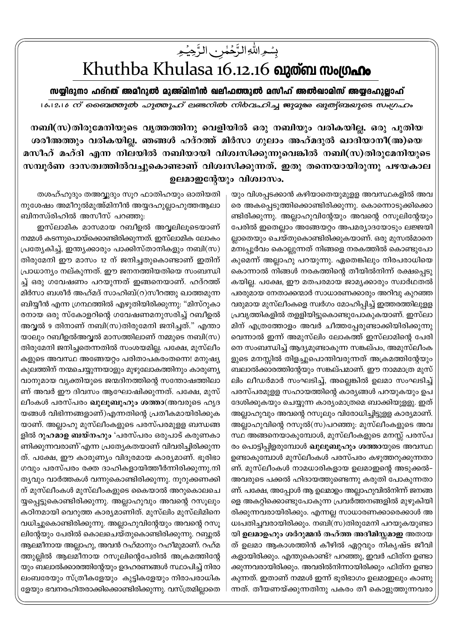## بِسُمِ اللَّٰهِ الزَّحِمٰٰنِ الزَّحِیۡمِ<br>Khuthba Khulasa 16.12.16 **வുത്ബ സംഗ്രഹം**

സയ്യിദുനാ ഹദ്**റത് അമീറുൽ മുഅ്മിനീൻ ഖലീഫത്തുൽ മസീഹ്** അൽഖാമിസ് അയ്യദഹുല്ലാഹ്

16.12.1*6 ന് ബൈത്തുൽ ഹൃത്തൂഹ് ല*ണ്ടനിൽ നിർവഹിച്ച ജുമുരു ഖുത്വ്ബ്രാഗ് സംഗ്രഹം

 $\lambda$  mബി $(\infty)$ തിരുമേനിയുടെ വൃത്തത്തിനു വെളിയിൽ ഒരു നബിയും വരികയില്ല. ഒരു പുതിയ ശരീഅത്തും വരികയില്ല. ഞങ്ങൾ ഹദ്റത്ത് മിർസാ ഗുലാം അഹ്മദുൽ ഖാദിയാനീ(അ)യെ മസീഹ് മഹ്ദി എന്ന നിലയിൽ നബിയായി വിശ്വസിക്കുന്നുവെങ്കിൽ നബി(സ)തിരുമേനിയുടെ സമ്പൂർണ ദാസത്വത്തിൽവച്ചുകൊണ്ടാണ് വിശ്വസിക്കുന്നത്. ഇതു തന്നെയായിരുന്നു പഴയകാല ഉലമാഇൻേയും വിശ്വാസം.

1

യും വിശപ്പടക്കാൻ കഴിയാതെയുമുളള അവസ്ഥകളിൽ അവ രെ അകപ്പെടുത്തിക്കൊണ്ടിരിക്കുന്നു. കൊന്നൊടുക്കിക്കൊ ണ്ടിരിക്കുന്നു. അല്ലാഹുവിന്റേയും അവന്റെ റസൂലിന്റേയും പേരിൽ ഇതെല്ലാം അങ്ങേയറ്റം അപമര്യാദയോടും ലജ്ജയി ല്ലാതെയും ചെയ്തുകൊണ്ടിരിക്കുകയാണ്. ഒരു മുസൽമാനെ മനഃപ്പൂർവം കൊല്ലുന്നത് നിങ്ങളെ നരകത്തിൽ കൊണ്ടുപോ കുമെന്ന് അല്ലാഹു പറയുന്നു. ഏതെങ്കിലും നിരപരാധിയെ കൊന്നാൽ നിങ്ങൾ നരകത്തിന്റെ തീയിൽനിന്ന് രക്ഷപ്പെടു കയില്ല. പക്ഷേ, ഈ മതപരമായ ജാമൃക്കാരും സ്വാർഥതൽ പരരുമായ നേതാക്കന്മാർ സാധാരണക്കാരും അറിവു കുറഞ്ഞ വരുമായ മുസ്ലീംകളെ സ്വർഗം മോഹിപ്പിച്ച് ഇത്തരത്തിലുളള (പവൃത്തികളിൽ തളളിയിട്ടുകൊണ്ടുപോകുകയാണ്. ഇസ്ലാ മിന് എത്രത്തോളം അവർ ചീത്തപ്പേരുണ്ടാക്കിയിരിക്കുന്നു വെന്നാൽ ഇന്ന് അമുസ്ലിം ലോകത്ത് ഇസ്ലാമിന്റെ പേരി നെ സംബന്ധിച്ച് ആദ്യമുണ്ടാകുന്ന സങ്കല്പം, അമുസ്ലീംക ളുടെ മനസ്സിൽ തിളച്ചുപൊന്തിവരുന്നത് അക്രമത്തിന്റേയും ബലാൽക്കാരത്തിന്റേയും സങ്കല്പമാണ്. ഈ നാമമാത്ര മുസ് ലിം ലീഡർമാർ സംഘടിച്ച്, അല്ലെങ്കിൽ ഉലമാ സംഘടിച്ച് പരസ്പരമുളള സഹായത്തിന്റെ കാര്യങ്ങൾ പറയുകയും ഉപ ദേശിക്കുകയും ചെയ്യുന്ന കാര്യംമാത്രമെ ബാക്കിയുളളു. ഇത് അല്ലാഹുവും അവന്റെ റസുലും വിരോധിച്ചിട്ടുള്ള കാര്യമാണ്. അല്ലാഹുവിന്റെ റസുൽ $(m)$ പറഞ്ഞു: മുസ്ലീംകളുടെ അവ സ്ഥ അങ്ങനെയാകുമ്പോൾ, മുസ്ലീംകളുടെ മനസ്സ് പരസ്പ രം പൊട്ടിപ്പിളരുമ്പോൾ **ഖുലൂബുഹും ശത്താ**യുടെ അവസ്ഥ ഉണ്ടാകുമ്പോൾ മുസ്ലീംകൾ പരസ്പരം കഴുത്തറുക്കുന്നതാ ണ്. മുസ്ലീംകൾ നാമധാരികളായ ഉലമാഇന്റെ അടുക്കൽ– അവരുടെ പക്കൽ ഹിദായത്തുണ്ടെന്നു കരുതി പോകുന്നതാ ണ്. പക്ഷേ, അപ്പോൾ ആ ഉലമാഉം അല്ലാഹുവിൽനിന്ന് ജനങ്ങ ളെ അകറ്റിക്കൊണ്ടുപോകുന്ന പ്രവർത്തനങ്ങളിൽ മുഴുകിയി രിക്കുന്നവരായിരിക്കും. എന്നല്ല സാധാരണക്കാരെക്കാൾ അ  $w$ പതിച്ചവരായിരിക്കും. നബി $(m)$ തിരുമേനി പറയുകയുണ്ടാ യി **ഉലമാഉഹും ശർറുമ്മൻ തഹ്**ത്ത അദീമിസ്സമാഇ അതായ ത് ഉലമാ ആകാശത്തിൻ കീഴിൽ ഏറ്റവും നികൃഷ്ട ജീവി കളായിരിക്കും. എന്തുകൊണ്ട്? പറഞ്ഞു, ഇവർ ഫിത്ന ഉണ്ടാ ക്കുന്നവരായിരിക്കും. അവരിൽനിന്നായിരിക്കും ഫിത്ന ഉണ്ടാ കുന്നത്. ഇതാണ് നമ്മൾ ഇന്ന് ഭൂരിഭാഗം ഉലമാഇലും കാണു ന്നത്. തീയണയ്ക്കുന്നതിനു പകരം തീ കൊളുത്തുന്നവരാ

തശഹ്ഹുദും തഅവ്വുദും സൂറ ഫാതിഹയും ഓതിയതി നുശേഷം അമീറുൽമുഅ്മിനീൻ അയ്യദഹുല്ലാഹുത്തആലാ ബിനസ്രിഹിൽ അസീസ് പറഞ്ഞു:

ഇസ്ലാമിക മാസമായ റബീഉൽ അവ്വലിലൂടെയാണ് നമ്മൾ കടന്നുപൊയ്ക്കൊണ്ടിരിക്കുന്നത്. ഇസ്ലാമിക ലോകം പ്രത്യേകിച്ച്, ഇന്ത്യക്കാരും പാക്കിസ്താനികളും നബി(സ) തിരുമേനി ഈ മാസം 12 ന് ജനിച്ചതുകൊണ്ടാണ് ഇതിന് പ്രാധാന്യം നല്കുന്നത്. ഈ ജനനത്തിയതിയെ സംബന്ധി ച്ച് ഒരു ഗവേഷണം പറയുന്നത് ഇങ്ങനെയാണ്. ഹദ്റത്ത് മിർസാ ബശീർ അഹ്മദ് സാഹിബ് $(o)$ സീറത്തു ഖാത്തമുന്ന ബിയ്യീൻ എന്ന ഗ്രന്ഥത്തിൽ എഴുതിയിരിക്കുന്നു: "മിസ്റുകാ രനായ ഒരു സ്കോളറിന്റെ ഗവേഷണമനുസരിച്ച് റബീഉൽ അവ്വൽ 9 തിനാണ് നബി(സ)തിരുമേനി ജനിച്ചത്." എന്താ യാലും റബീഉൽഅവൃൽ മാസത്തിലാണ് നമ്മുടെ നബി $(m)$ തിരുമേനി ജനിച്ചതെന്നതിൽ സംശയമില്ല. പക്ഷേ, മുസ്ലീം കളുടെ അവസ്ഥ അങ്ങേയറ്റം പരിതാപകരംതന്നെ! മനുഷ്യ കുലത്തിന് നന്മചെയ്യുന്നയാളും മുഴുലോകത്തിനും കാരുണ്യ വാനുമായ വ്യക്തിയുടെ ജന്മദിനത്തിന്റെ സന്തോഷത്തിലാ ണ് അവർ ഈ ദിവസം ആഘോഷിക്കുന്നത്. പക്ഷേ, മുസ് ലീംകൾ പരസ്പരം **ഖുലൂബുഹും ശത്താ**(അവരുടെ ഹൃദ യങ്ങൾ വിഭിന്നങ്ങളാണ്)എന്നതിന്റെ പ്രതീകമായിരിക്കുക യാണ്. അല്ലാഹു മുസ്ലീംകളുടെ പരസ്പരമുളള ബന്ധങ്ങ ളിൽ **റുഹമാഉ ബയ്നഹും** 'പരസ്പരം ഒരുപാട് കരുണകാ ണിക്കുന്നവരാണ്'എന്ന പ്രത്യേകതയാണ് വിവരിച്ചിരിക്കുന്ന ത്. പക്ഷേ, ഈ കാരുണ്യം വിദൂരമായ കാര്യമാണ്. ഭൂരിഭാ ഗവും പരസ്പരം രക്ത ദാഹികളായിത്തീർന്നിരിക്കുന്നു.നി തൃവും വാർത്തകൾ വന്നുകൊണ്ടിരിക്കുന്നു. നുറുക്കണക്കി ന് മുസ്ലീംകൾ മുസ്ലീംകളുടെ കൈയാൽ അറുകൊലചെ യ്യപ്പെട്ടുകൊണ്ടിരിക്കുന്നു. അല്ലാഹുവും അവന്റെ റസൂലും കഠിനമായി വെറുത്ത കാര്യമാണിത്. മുസ്ലിം മുസ്ലിമിനെ വധിച്ചുകൊണ്ടിരിക്കുന്നു. അല്ലാഹുവിന്റേയും അവന്റെ റസൂ ലിന്റേയും പേരിൽ കൊലചെയ്തുകൊണ്ടിരിക്കുന്നു. റബ്ബൽ ആലമീനായ അല്ലാഹു, അവൻ റഹ്മാനും റഹീമുമാണ്. റഹ്മ ത്തുല്ലിൽ ആലമീനായ റസൂലിന്റെപേരിൽ അക്രമത്തിന്റേ യും ബലാൽക്കാരത്തിന്റേയും ഉദഹരണങ്ങൾ സ്ഥാപിച്ച് നിരാ ലംബരേയും സ്ത്രീകളേയും കുട്ടികളേയും നിരാപരാധിക ഭളയും ഭവനരഹിതരാക്കിക്കൊണ്ടിരിക്കുന്നു. വസ്ത്രമില്ലാതെ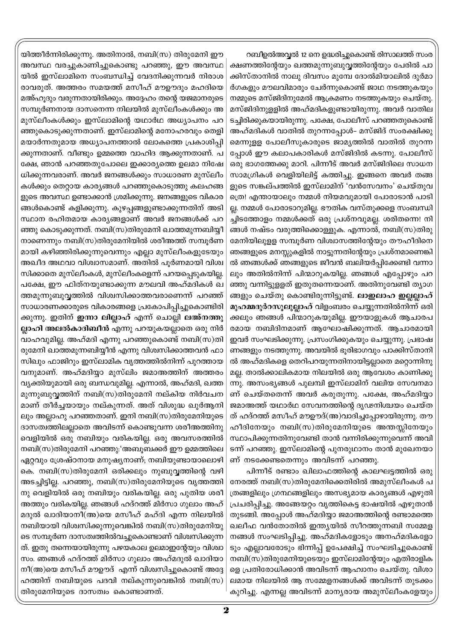റബീഉൽഅവൃൽ 12 നെ ഉദ്ധരിച്ചുകൊണ്ട് രിസാലത്ത് സംര ക്ഷണത്തിന്റേയും ഖത്തമുന്നുബുവ്വത്തിന്റേയും പേരിൽ പാ ക്കിസ്താനിൽ നാലു ദിവസം മുമ്പേ ദോൽമിയാലിൽ ദുർമാ ർഗകളും മൗലവിമാരും ചേർന്നുകൊണ്ട് ജാഥ നടത്തുകയും നമ്മുടെ മസ്ജിദിനുമേൽ ആക്രമണം നടത്തുകയും ചെയ്തു. മസ്ജിദിനുളളിൽ അഹ്മദികളുണ്ടായിരുന്നു. അവർ വാതില ടച്ചിരിക്കുകയായിരുന്നു. പക്ഷേ, പോലീസ് പറഞ്ഞതുകൊണ്ട് അഹ്മദികൾ വാതിൽ തുറന്നപ്പോൾ– മസ്ജിദ് സംരക്ഷിക്കു മെന്നുളള പോലീസുകാരുടെ ജാമൃത്തിൽ വാതിൽ തുറന്ന പ്പോൾ ഈ കലാപകാരികൾ മസ്ജിദിൽ കടന്നു. പോലീസ് ഒരു ഭാഗത്തേക്കു മാറി. പിന്നീട് അവർ മസ്ജിദിലെ സാധന സാമഗ്രികൾ വെളിയിലിട്ട് കത്തിച്ചു. ഇങ്ങനെ അവർ തങ്ങ ളുടെ സങ്കല്പത്തിൽ ഇസ്ലാമിന് 'വൻസേവനം' ചെയ്തുവ ത്രെ! എന്തായാലും നമ്മൾ നിയമവുമായി പോരാടാൻ പാടി ല്ല. നമ്മൾ പോരാടാറുമില്ല. ഭൗതിക വസ്തുക്കളെ സംബന്ധി ച്ചിടത്തോളം നമ്മൾക്കത് ഒരു പ്രശ്നവുമല്ല. ശരിതന്നെ! നി ങ്ങൾ നഷ്ടം വരുത്തിക്കൊള്ളുക. എന്നാൽ, നബി(സ)തിരു മേനിയിലുള്ള സമ്പൂർണ വിശ്വാസത്തിന്റേയും തൗഹീദിനെ ഞങ്ങളുടെ മനസ്സുകളിൽ നാട്ടുന്നതിന്റേയും പ്രശ്നമാണെങ്കി ൽ ഞങ്ങൾക്ക് ഞങ്ങളുടെ ജീവൻ ബലിയർപ്പിക്കേണ്ടി വന്നാ ലും അതിൽനിന്ന് പിന്മാറുകയില്ല. ഞങ്ങൾ എപ്പോഴും പറ ഞ്ഞു വന്നിട്ടുളളത് ഇതുതന്നെയാണ്. അതിനുവേണ്ടി ത്യാഗ ങ്ങളും ചെയ്തു കൊണ്ടിരുന്നിട്ടുണ്ട്. ലാഇലാഹ ഇല്ലല്ലാഹ് മുഹമ്മദുർറസൂലുല്ലാഹ് വിളംബരം ചെയ്യുന്നതിൽനിന്ന് ഒരി ക്കലും ഞങ്ങൾ പിന്മാറുകയുമില്ല. ഈയാളുകൾ ആചാരപ രമായ നബിദിനമാണ് ആഘോഷിക്കുന്നത്. ആചാരമായി ഇവർ സംഘടിക്കുന്നു. പ്രസംഗിക്കുകയും ചെയ്യുന്നു. പ്രഭാഷ ണങ്ങളും നടത്തുന്നു. അവയിൽ ഭൂരിഭാഗവും പാക്കിസ്താനി ൽ അഹ്മദികളെ തെറിപറയുന്നതിനായിട്ടല്ലാതെ മറ്റൊന്നിനു മല്ല. താൽക്കാലികമായ നിലയിൽ ഒരു ആവേശം കാണിക്കു ന്നു. അസംഭൃങ്ങൾ പുലമ്പി ഇസ്ലാമിന് വലിയ സേവനമാ ണ് ചെയ്തതെന്ന് അവർ കരുതുന്നു. പക്ഷേ, അഹ്മദിയ്യാ ജമാഅത്ത് യഥാർഥ സേവനത്തിന്റെ ദൃഢനിശ്ചയം ചെയ്ത ത് ഹദ്റത്ത് മസീഹ് മൗഊദ്(അ)വാദിച്ചപ്പോഴായിരുന്നു. തൗ ഹീദിനേയും നബി(സ)തിരുമേനിയുടെ അന്തസ്സിനേയും സ്ഥാപിക്കുന്നതിനുവേണ്ടി താൻ വന്നിരിക്കുന്നുവെന്ന് അവി ടന്ന് പറഞ്ഞു. ഇസ്ലാമിന്റെ പുനരുഥാനം താൻ മുഖേനയാ ണ് നടക്കേണ്ടതെന്നും അവിടന്ന് പറഞ്ഞു.

പിന്നീട് രണ്ടാം ഖിലാഫത്തിന്റെ കാലഘട്ടത്തിൽ ഒരു നേരത്ത് നബി(സ)തിരുമേനിക്കെതിരിൽ അമുസ്ലീംകൾ പ ത്രങ്ങളിലും ഗ്രന്ഥങ്ങളിലും അസഭ്യമായ കാര്യങ്ങൾ എഴുതി പ്രചരിപ്പിച്ചു. അങ്ങേയറ്റം വൃത്തികെട്ട ഭാഷയിൽ എഴുതാൻ തുടങ്ങി. അപ്പോൾ അഹ്മദിയ്യാ ജമാഅത്തിന്റെ രണ്ടാമത്തെ ഖലീഫ വൻതോതിൽ ഇന്ത്യയിൽ സീറത്തുന്നബി സമ്മേള നങ്ങൾ സംഘടിപ്പിച്ചു. അഹ്മദികളോടും അനഹ്മദികളോ ടും എല്ലാവരോടും ഭിന്നിപ്പ് ഉപേക്ഷിച്ച് സംഘടിച്ചുകൊണ്ട് നബി(സ)തിരുമേനിയുടെയും ഇസ്ലാമിന്റേയും എതിരാളിക ളെ പ്രതിരോധിക്കാൻ അവിടന്ന് ആഹ്വാനം ചെയ്തു. വിശാ ലമായ നിലയിൽ ആ സമ്മേളനങ്ങൾക്ക് അവിടന്ന് തുടക്കം കുറിച്ചു. എന്നല്ല അവിടന്ന് മാന്യരായ അമുസ്ലീംകളേയും

യിത്തീർന്നിരിക്കുന്നു. അതിനാൽ, നബി(സ) തിരുമേനി ഈ അവസ്ഥ വരച്ചുകാണിച്ചുകൊണ്ടു പറഞ്ഞു, ഈ അവസ്ഥ യിൽ ഇസ്ലാമിനെ സംബന്ധിച്ച് വേദനിക്കുന്നവർ നിരാശ രാവരുത്. അത്തരം സമയത്ത് മസീഹ് മൗഊദും മഹദിയെ മഅ്ഹൂദും വരുന്നതായിരിക്കും. അദ്ദേഹം തന്റെ യജമാനരുടെ സമ്പൂർണനായ ദാസനെന്ന നിലയിൽ മുസ്ലീംകൾക്കും അ മുസ്ലീംകൾക്കും ഇസ്ലാമിന്റെ യഥാർഥ അധ്യാപനം പറ ഞ്ഞുകൊടുക്കുന്നതാണ്. ഇസ്ലാമിന്റെ മനോഹരവും തെളി മയാർന്നതുമായ അധ്യാപനത്താൽ ലോകത്തെ പ്രകാശിപ്പി ക്കുന്നതാണ്. വീണ്ടും ഉമ്മത്തെ വാഹിദ ആക്കുന്നതാണ്. പ ക്ഷേ, ഞാൻ പറഞ്ഞതുപോലെ ഇക്കാര്യത്തെ ഉലമാ നിഷേ ധിക്കുന്നവരാണ്. അവർ ജനങ്ങൾക്കും സാധാരണ മുസ്ലീം കൾക്കും തെറ്റായ കാര്യങ്ങൾ പറഞ്ഞുകൊടുത്തു കലഹങ്ങ ളുടെ അവസ്ഥ ഉണ്ടാക്കാൻ ശ്രമിക്കുന്നു. ജനങ്ങളുടെ വികാര ങ്ങൾകൊണ്ട് കളിക്കുന്നു. കുഴപ്പങ്ങളുണ്ടാക്കുന്നതിന് അടി സ്ഥാന രഹിതമായ കാര്യങ്ങളാണ് അവർ ജനങ്ങൾക്ക് പറ ഞ്ഞു കൊടുക്കുന്നത്. നബി(സ)തിരുമേനി ഖാത്തമുന്നബിയ്യീ നാണെന്നും നബി(സ)തിരുമേനിയിൽ ശരീഅത്ത് സമ്പൂർണ മായി കഴിഞ്ഞിരിക്കുന്നുവെന്നും എല്ലാ മുസ്ലീംകളുടേയും അഖീദ അഥവാ വിശ്വാസമാണ്. അതിൽ പൂർണമായി വിശ്വ സിക്കാതെ മുസ്ലീംകൾ, മുസ്ലീംകളെന്ന് പറയപ്പെടുകയില്ല. പക്ഷേ, ഈ ഫിത്നയുണ്ടാക്കുന്ന മൗലവി അഹ്മദികൾ ഖ ത്തമുന്നുബുവ്വത്തിൽ വിശ്വസിക്കാത്തവരാണെന്ന് പറഞ്ഞ് സാധാരണക്കാരുടെ വികാരങ്ങളെ പ്രകോപിപ്പിച്ചുകൊണ്ടിരി ക്കുന്നു. ഇതിന് **ഇന്നാ ലില്ലാഹ്** എന്ന് ചൊല്ലി <mark>ലഅ്നത്തു</mark> ല്ലാഹി അലൽകാദിബീൻ എന്നു പറയുകയല്ലാതെ ഒരു നിർ വാഹവുമില്ല. അഹ്മദി എന്നു പറഞ്ഞുകൊണ്ട് നബി(സ)തി രുമേനി ഖാത്തമുന്നബിയ്യീൻ എന്നു വിശ്വസിക്കാത്തവൻ ഫാ സിഖും ഫാജിറും ഇസ്ലാമിക വൃത്തത്തിൽനിന്ന് പുറത്തായ വനുമാണ്. അഹ്മദിയ്യാ മുസ്ലിം ജമാഅത്തിന് അത്തരം വ്യക്തിയുമായി ഒരു ബന്ധവുമില്ല. എന്നാൽ, അഹ്മദി, ഖത്ത മുന്നുബുവ്വത്തിന് നബി(സ)തിരുമേനി നല്കിയ നിർവചന മാണ് തീർച്ചയായും നല്കുന്നത്. അത് വിശുദ്ധ ഖുർആനി ലും അല്ലാഹു പറഞ്ഞതാണ്. ഇനി നബി(സ)തിരുമേനിയുടെ ദാസത്വത്തിലല്ലാതെ അവിടന്ന് കൊണ്ടുവന്ന ശരീഅത്തിനു വെളിയിൽ ഒരു നബിയും വരികയില്ല. ഒരു അവസരത്തിൽ നബി(സ)തിരുമേനി പറഞ്ഞു:'അബൂബക്കർ ഈ ഉമ്മത്തിലെ ഏറ്റവും ശ്രേഷ്ഠനായ മനുഷ്യനാണ്; നബിയുണ്ടായാലൊഴി കെ. നബി(സ)തിരുമേനി ഒരിക്കലും നുബുവ്വത്തിന്റെ വഴി അടച്ചിട്ടില്ല. പറഞ്ഞു, നബി(സ)തിരുമേനിയുടെ വൃത്തത്തി നു വെളിയിൽ ഒരു നബിയും വരികയില്ല. ഒരു പുതിയ ശരീ അത്തും വരികയില്ല. ഞങ്ങൾ ഹദ്റത്ത് മിർസാ ഗുലാം അഹ് മദുൽ ഖാദിയാനീ(അ)യെ മസീഹ് മഹ്ദി എന്ന നിലയിൽ നബിയായി വിശ്വസിക്കുന്നുവെങ്കിൽ നബി(സ)തിരുമേനിയു ടെ സമ്പൂർണ ദാസത്വത്തിൽവച്ചുകൊണ്ടാണ് വിശ്വസിക്കുന്ന ത്. ഇതു തന്നെയായിരുന്നു പഴയകാല ഉലമാഇന്റേയും വിശ്വാ സം. ഞങ്ങൾ ഹദ്റത്ത് മിർസാ ഗുലാം അഹ്മദുൽ ഖാദിയാ നീ(അ)യെ മസീഹ് മൗഊദ് എന്ന് വിശ്വസിച്ചുകൊണ്ട് അദ്ദേ ഹത്തിന് നബിയുടെ പദവി നല്കുന്നുവെങ്കിൽ നബി(സ) തിരുമേനിയുടെ ദാസത്വം കൊണ്ടാണത്.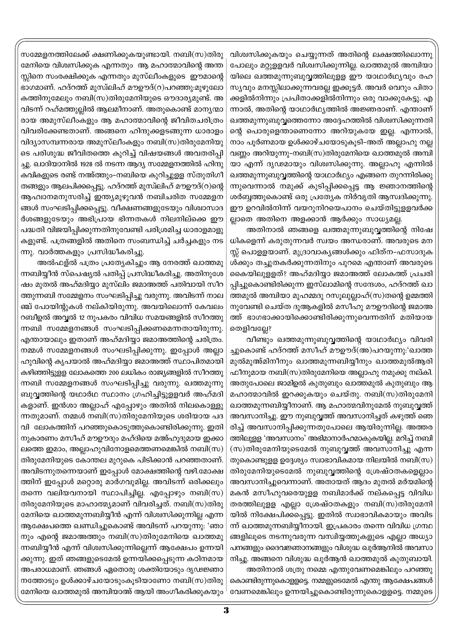വിശ്വസിക്കുകയും ചെയ്യുന്നത് അതിന്റെ ലക്ഷത്തിലൊന്നു പോലും മറ്റുളളവർ വിശ്വസിക്കുന്നില്ല. ഖാത്തമുൽ അമ്പിയാ യിലെ ഖത്തമുന്നുബുവ്വത്തിലുളള ഈ യാഥാർഥ്യവും രഹ സ്യവും മനസ്സിലാക്കുന്നവരല്ല ഇക്കൂട്ടർ. അവർ വെറും പിതാ ക്കളിൽനിന്നും പ്രപിതാക്കളിൽനിന്നും ഒരു വാക്കുകേട്ടു. എ ന്നാൽ, അതിന്റെ യാഥാർഥ്യത്തിൽ അജ്ഞരാണ്. എന്താണ് ഖത്തമുന്നുബുവ്വത്തെന്നോ അദ്ദേഹത്തിൽ വിശ്വസിക്കുന്നതി ന്റെ പൊരുളെന്താണെന്നോ അറിയുകയേ ഇല്ല. എന്നാൽ, നാം പൂർണമായ ഉൾക്കാഴ്ചയോടുകൂടി-അത് അല്ലാഹു നല്ല വണ്ണം അറിയുന്നു-നബി(സ)തിരുമേനിയെ ഖാത്തമുൽ അമ്പി യാ എന്ന് ദൃഢമായും വിശ്വസിക്കുന്നു. അല്ലാഹു എന്നിൽ ഖത്തമുന്നുബുവ്വത്തിന്റെ യാഥാർഥ്യം എങ്ങനെ തുറന്നിരിക്കു ന്നുവെന്നാൽ നമുക്ക് കുടിപ്പിക്കപ്പെട്ട ആ ജ്ഞാനത്തിന്റെ ശർബ്ബത്തുകൊണ്ട് ഒരു പ്രത്യേക നിർവൃതി ആസ്വദിക്കുന്നു. ഈ ഉറവിൽനിന്ന് വയറുനിറയെപാനം ചെയ്തിട്ടുളളവർക്ക ല്ലാതെ അതിനെ അളക്കാൻ ആർക്കും സാധ്യമല്ല.

അതിനാൽ ഞങ്ങളെ ഖത്തമുന്നുബുവ്വത്തിന്റെ നിഷേ ധികളെന്ന് കരുതുന്നവർ സ്വയം അന്ധരാണ്. അവരുടെ മന സ്സ് പൊളളയാണ്. മുദ്രാവാകൃങ്ങൾക്കും ഫിത്ന–ഫസാദുക ൾക്കും തച്ചുതകർക്കുന്നതിനും പുറമെ എന്താണ് അവരുടെ കൈയിലുളളത്? അഹ്മദിയ്യാ ജമാഅത്ത് ലോകത്ത് പ്രചരി പ്പിച്ചുകൊണ്ടിരിക്കുന്ന ഇസ്ലാമിന്റെ സന്ദേശം, ഹദ്റത്ത് ഖാ ത്തമുൽ അമ്പിയാ മുഹമ്മദു റസൂലുല്ലാഹ്(സ)തന്റെ ഉമ്മത്തി നുവേണ്ടി ചെയ്ത ദുആകളിൽ മസീഹു മൗഊദിന്റെ ജമാഅ ത്ത് ഭാഗഭാക്കായിക്കൊണ്ടിരിക്കുന്നുവെന്നതിന് മതിയായ തെളിവല്ലേ?

വീണ്ടും ഖത്തമുന്നുബുവ്വത്തിന്റെ യാഥാർഥ്യം വിവരി ച്ചുകൊണ്ട് ഹദ്റത്ത് മസീഹ് മൗഊദ്(അ)പറയുന്നു:'ഖാത്ത മുൽമുഅ്മിനീനും ഖാത്തമുന്നബിയ്യീനും ഖാത്തമുൽആരി ഫീനുമായ നബി(സ)തിരുമേനിയെ അല്ലാഹു നമുക്കു നല്കി. അതുപോലെ ജാമിഉൽ കുതുബും ഖാത്തമുൽ കുതുബും ആ മഹാത്മാവിൽ ഇറക്കുകയും ചെയ്തു. നബി(സ)തിരുമേനി ഖാത്തമുന്നബിയ്യീനാണ്. ആ മഹാത്മവിനുമേൽ നുബുവ്വത്ത് അവസാനിച്ചു. ഈ നുബുവ്വത്ത് അവസാനിച്ചത് കഴുത്ത് ഞെ രിച്ച് അവസാനിപ്പിക്കുന്നതുപോലെ ആയിരുന്നില്ല. അത്തര ത്തിലുളള 'അവസാനം' അഭിമാനാർഹമാകുകയില്ല. മറിച്ച് നബി (സ)തിരുമേനിയുടെമേൽ നുബുവ്വത്ത് അവസാനിച്ചു എന്ന തുകൊണ്ടുളള ഉദ്ദേശ്യം സ്വാഭാവികമായ നിലയിൽ നബി $(m)$ തിരുമേനിയുടെമേൽ നുബുവ്വത്തിന്റെ ശ്രേഷ്ഠതകളെല്ലാം അവസാനിച്ചുവെന്നാണ്. അതായത് ആദം മുതൽ മർയമിന്റെ മകൻ മസീഹുവരെയുളള നബിമാർക്ക് നല്കപ്പെട്ട വിവിധ തരത്തിലുളള എല്ലാ ശ്രേഷ്ഠതകളും നബി(സ)തിരുമേനി യിൽ നിക്ഷേപിക്കപ്പെട്ടു. ഇതിൽ സ്വാഭാവികമായും അവിട ന്ന് ഖാത്തമുന്നബിയ്യീനായി. ഇപ്രകാരം തന്നെ വിവിധ ഗ്രന്ഥ ങ്ങളിലൂടെ നടന്നുവരുന്ന വസ്ഥിയ്യത്തുകളുടെ എല്ലാ അധ്യാ പനങ്ങളും ദൈവജ്ഞാനങ്ങളും വിശുദ്ധ ഖുർആനിൽ അവസാ നിച്ചു. അങ്ങനെ വിശുദ്ധ ഖുർആൻ ഖാത്തമുൽ കുതുബായി. അതിനാൽ ശത്രു നമ്മെ എന്തുവേണമെങ്കിലും പറഞ്ഞു

കൊണ്ടിരുന്നുകൊളളട്ടെ. നമ്മളുടെമേൽ എന്തു ആക്ഷേപങ്ങൾ വേണമെങ്കിലും ഉന്നയിച്ചുകൊണ്ടിരുന്നുകൊളളട്ടെ. നമ്മുടെ

സമ്മേളനത്തിലേക്ക് ക്ഷണിക്കുകയുണ്ടായി. നബി(സ)തിരു മേനിയെ വിശ്വസിക്കുക എന്നതും ആ മഹാത്മാവിന്റെ അന്ത സ്സിനെ സംരക്ഷിക്കുക എന്നതും മുസ്ലീംകളുടെ ഈമാന്റെ ഭാഗമാണ്. ഹദ്റത്ത് മുസ്ഥിഹ് മൗഊദ്(റ)പറഞ്ഞു:മുഴുലോ കത്തിനുമേലും നബി(സ)തിരുമേനിയുടെ ഔദാര്യമുണ്ട്. അ വിടന്ന് റഹ്മത്തുല്ലിൽ ആലമീനാണ്. അതുകൊണ്ട് മാനൃന്മാ രായ അമുസ്ലീംകളും ആ മഹാത്മാവിന്റെ ജീവിതചരിത്രം വിവരിക്കേണ്ടതാണ്. അങ്ങനെ ഹിന്ദുക്കളടങ്ങുന്ന ധാരാളം വിദ്യാസമ്പന്നരായ അമുസ്ലീംകളും നബി(സ)തിരുമേനിയു ടെ പരിശുദ്ധ ജീവിതത്തെ കുറിച്ച് വിഷയങ്ങൾ അവതരിപ്പി ച്ചു. ഖാദിയാനിൽ 1928 ൽ നടന്ന ആദ്യ സമ്മേളനത്തിൽ ഹിന്ദു കവികളുടെ രണ്ട് നഅ്ത്തും–നബിയെ കുറിച്ചുളള സ്തുതിഗീ തങ്ങളും ആലപിക്കപ്പെട്ടു. ഹദ്റത്ത് മുസ്ഥിഹ് മൗഊദ്(റ)ന്റെ ആഹ്വാനമനുസരിച്ച് ഇന്ത്യമുഴുവൻ നബിചരിത സമ്മേളന ങ്ങൾ സംഘടിപ്പിക്കപ്പെട്ടു. വീക്ഷണങ്ങളുടേയും വിശ്വാസാദ ർശങ്ങളുടേയും അഭിപ്രായ ഭിന്നതകൾ നിലനില്ക്കെ ഈ പദ്ധതി വിജയിപ്പിക്കുന്നതിനുവേണ്ടി പരിശ്രമിച്ച ധാരാളമാളു കളുണ്ട്. പത്രങ്ങളിൽ അതിനെ സംബന്ധിച്ച് ചർച്ചകളും നട ന്നു. വാർത്തകളും പ്രസിദ്ധീകരിച്ചു.

അൽഫള്ൽ പത്രം പ്രത്യേകിച്ചും ആ നേരത്ത് ഖാത്തമു ന്നബിയ്യീൻ സ്പെഷ്യൽ പതിപ്പ് പ്രസിദ്ധീകരിച്ചു. അതിനുശേ ഷം മുതൽ അഹ്മദിയ്യാ മുസ്ലിം ജമാഅത്ത് പതിവായി സീറ ത്തുന്നബി സമ്മേളനം സംഘടിപ്പിച്ചു വരുന്നു. അവിടന്ന് നാല ഞ്ച് പോയിന്റുകൾ നല്കിയിരുന്നു. അവയിലൊന്ന് കേവലം റബീഉൽ അവ്വൽ 12 നുപകരം വിവിധ സമയങ്ങളിൽ സീറത്തു ന്നബി സമ്മേളനങ്ങൾ സംഘടിപ്പിക്കണമെന്നതായിരുന്നു. എന്തായാലും ഇതാണ് അഹ്മദിയ്യാ ജമാഅത്തിന്റെ ചരിത്രം. നമ്മൾ സമ്മേളനങ്ങൾ സംഘടിപ്പിക്കുന്നു. ഇപ്പോൾ അല്ലാ ഹുവിന്റെ കൃപയാൽ അഹ്മദിയ്യാ ജമാഅത്ത് സ്ഥാപിതമായി കഴിഞ്ഞിട്ടുളള ലോകത്തെ 200 ലധികം രാജ്യങ്ങളിൽ സീറത്തു ന്നബി സമ്മേളനങ്ങൾ സംഘടിപ്പിച്ചു വരുന്നു. ഖത്തമുന്നു ബുവ്വത്തിന്റെ യഥാർഥ സ്ഥാനം ഗ്രഹിച്ചിട്ടുളളവർ അഹ്മദി കളാണ്. ഇൻശാ അല്ലാഹ് എപ്പോഴും അതിൽ നിലകൊള്ളു ന്നതുമാണ്. നമ്മൾ നബി(സ)തിരുമേനിയുടെ ശരിയായ പദ വി ലോകത്തിന് പറഞ്ഞുകൊടുത്തുകൊണ്ടിരിക്കുന്നു. ഇതി നുകാരണം മസീഹ് മൗഊദും മഹ്ദിയെ മഅ്ഹൂദുമായ ഇക്കാ ലത്തെ ഇമാം, അല്ലാഹുവിനോളമെത്തണമെങ്കിൽ നബി(സ) തിരുമേനിയുടെ കോന്തല മുറുകെ പിടിക്കാൻ പറഞ്ഞതാണ്. അവിടന്നുതന്നെയാണ് ഇപ്പോൾ മോക്ഷത്തിന്റെ വഴി.മോക്ഷ ത്തിന് ഇപ്പോൾ മറ്റൊരു മാർഗവുമില്ല. അവിടന്ന് ഒരിക്കലും തന്നെ വലിയവനായി സ്ഥാപിച്ചില്ല. എപ്പോഴും നബി(സ) തിരുമേനിയുടെ മാഹാത്മ്യമാണ് വിവരിച്ചത്. നബി(സ)തിരു മേനിയെ ഖാത്തമുന്നബിയ്യീൻ എന്ന് വിശ്വസിക്കുന്നില്ല എന്ന ആക്ഷേപത്തെ ഖണ്ഡിച്ചുകൊണ്ട് അവിടന്ന് പറയുന്നു: 'ഞാ നും എന്റെ ജമാഅത്തും നബി(സ)തിരുമേനിയെ ഖാത്തമു ന്നബിയ്യീൻ എന്ന് വിശ്വസിക്കുന്നില്ലെന്ന് ആക്ഷേപം ഉന്നയി ക്കുന്നു. ഇത് ഞങ്ങളുടെമേൽ ഉന്നയിക്കപ്പെടുന്ന കഠിനമായ അപരാധമാണ്. ഞങ്ങൾ ഏതൊരു ശക്തിയോടും ദൃഢജ്ഞാ നത്തോടും ഉൾക്കാഴ്ചയോടുംകൂടിയാണോ നബി(സ)തിരു മേനിയെ ഖാത്തമുൽ അമ്പിയാഅ് ആയി അംഗീകരിക്കുകയും